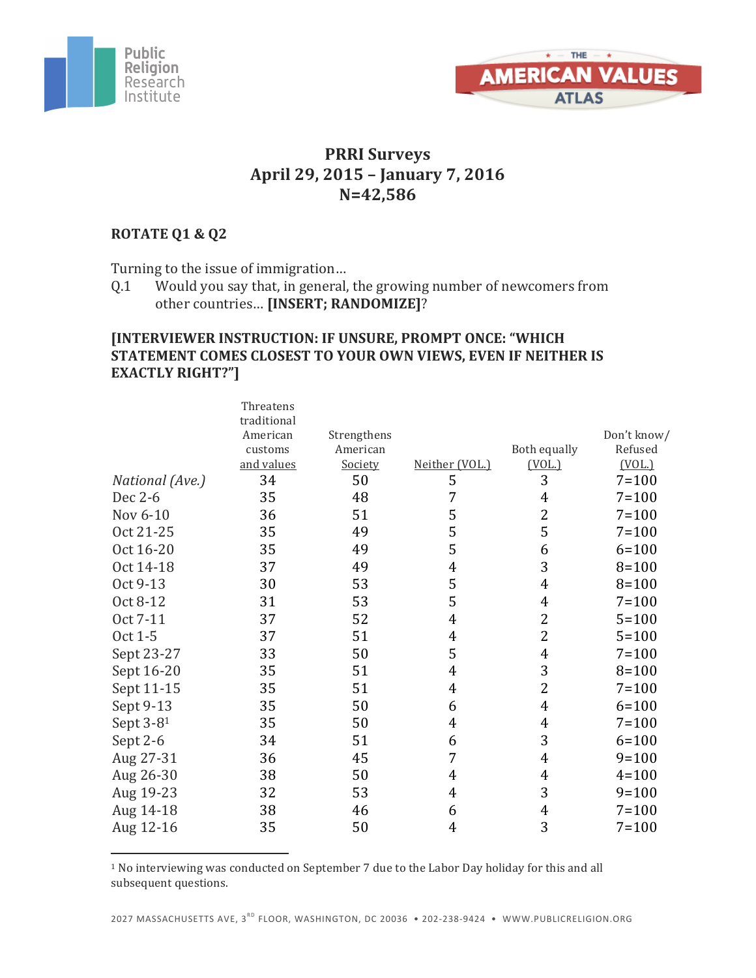



### **PRRI Surveys April 29, 2015 – January 7, 2016 N=42,586**

#### **ROTATE Q1 & Q2**

Turning to the issue of immigration...

 

Q.1 Would you say that, in general, the growing number of newcomers from other countries... [INSERT; RANDOMIZE]?

#### **[INTERVIEWER INSTRUCTION: IF UNSURE, PROMPT ONCE: "WHICH STATEMENT COMES CLOSEST TO YOUR OWN VIEWS, EVEN IF NEITHER IS EXACTLY RIGHT?"]**

|                 | Threatens   |             |                |                |             |
|-----------------|-------------|-------------|----------------|----------------|-------------|
|                 | traditional |             |                |                |             |
|                 | American    | Strengthens |                |                | Don't know/ |
|                 | customs     | American    |                | Both equally   | Refused     |
|                 | and values  | Society     | Neither (VOL.) | (VOL.)         | (VOL.)      |
| National (Ave.) | 34          | 50          | 5              | 3              | $7 = 100$   |
| Dec 2-6         | 35          | 48          | 7              | 4              | $7 = 100$   |
| Nov 6-10        | 36          | 51          | 5              | 2              | $7 = 100$   |
| Oct 21-25       | 35          | 49          | 5              | 5              | $7 = 100$   |
| Oct 16-20       | 35          | 49          | 5              | 6              | $6 = 100$   |
| Oct 14-18       | 37          | 49          | 4              | 3              | $8 = 100$   |
| Oct 9-13        | 30          | 53          | 5              | 4              | $8 = 100$   |
| Oct 8-12        | 31          | 53          | 5              | 4              | $7 = 100$   |
| Oct 7-11        | 37          | 52          | 4              | 2              | $5 = 100$   |
| Oct 1-5         | 37          | 51          | 4              | 2              | $5 = 100$   |
| Sept 23-27      | 33          | 50          | 5              | 4              | $7 = 100$   |
| Sept 16-20      | 35          | 51          | 4              | 3              | $8 = 100$   |
| Sept 11-15      | 35          | 51          | 4              | 2              | $7 = 100$   |
| Sept 9-13       | 35          | 50          | 6              | 4              | $6 = 100$   |
| Sept 3-81       | 35          | 50          | 4              | 4              | $7 = 100$   |
| Sept 2-6        | 34          | 51          | 6              | 3              | $6 = 100$   |
| Aug 27-31       | 36          | 45          | 7              | 4              | $9 = 100$   |
| Aug 26-30       | 38          | 50          | 4              | $\overline{4}$ | $4 = 100$   |
| Aug 19-23       | 32          | 53          | 4              | 3              | $9 = 100$   |
| Aug 14-18       | 38          | 46          | 6              | 4              | $7 = 100$   |
| Aug 12-16       | 35          | 50          | 4              | 3              | $7 = 100$   |
|                 |             |             |                |                |             |

<sup>1</sup> No interviewing was conducted on September 7 due to the Labor Day holiday for this and all subsequent questions.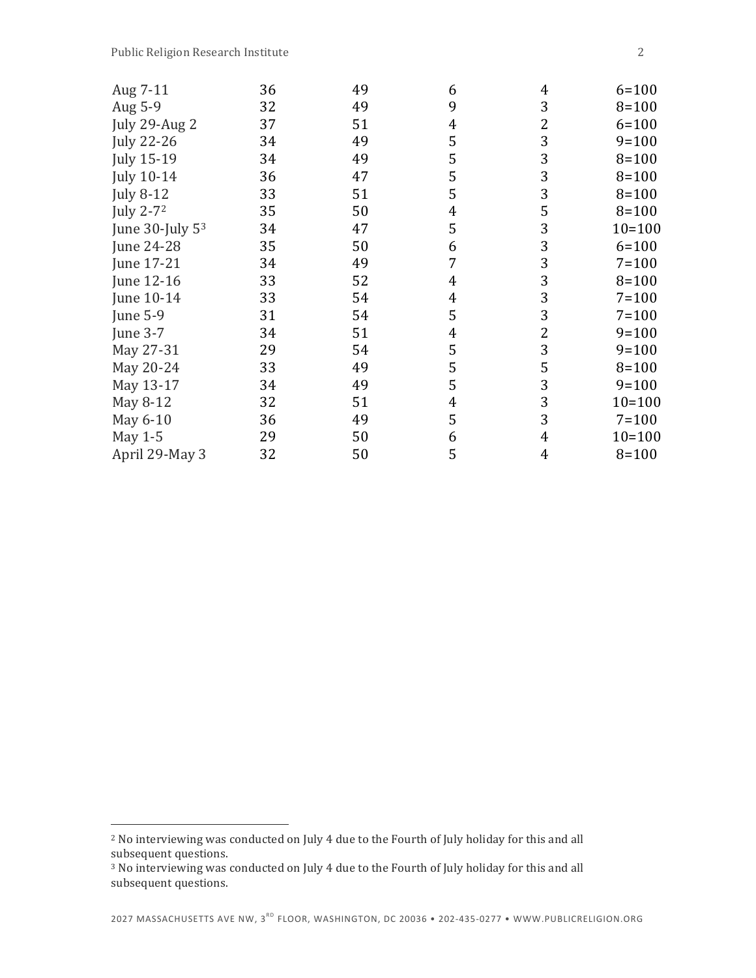| Aug 7-11              | 36 | 49 | 6 | 4              | $6 = 100$  |
|-----------------------|----|----|---|----------------|------------|
| Aug 5-9               | 32 | 49 | 9 | 3              | $8 = 100$  |
| July 29-Aug 2         | 37 | 51 | 4 | 2              | $6 = 100$  |
| <b>July 22-26</b>     | 34 | 49 | 5 | 3              | $9 = 100$  |
| <b>July 15-19</b>     | 34 | 49 | 5 | 3              | $8 = 100$  |
| <b>July 10-14</b>     | 36 | 47 | 5 | 3              | $8 = 100$  |
| <b>July 8-12</b>      | 33 | 51 | 5 | 3              | $8 = 100$  |
| July 2-7 <sup>2</sup> | 35 | 50 | 4 | 5              | $8 = 100$  |
| June $30$ -July $53$  | 34 | 47 | 5 | 3              | $10 = 100$ |
| June 24-28            | 35 | 50 | 6 | 3              | $6 = 100$  |
| June 17-21            | 34 | 49 | 7 | 3              | $7 = 100$  |
| June 12-16            | 33 | 52 | 4 | 3              | $8 = 100$  |
| June 10-14            | 33 | 54 | 4 | 3              | $7 = 100$  |
| <b>June 5-9</b>       | 31 | 54 | 5 | 3              | $7 = 100$  |
| <b>June 3-7</b>       | 34 | 51 | 4 | $\overline{2}$ | $9 = 100$  |
| May 27-31             | 29 | 54 | 5 | 3              | $9 = 100$  |
| May 20-24             | 33 | 49 | 5 | 5              | $8 = 100$  |
| May 13-17             | 34 | 49 | 5 | 3              | $9 = 100$  |
| May 8-12              | 32 | 51 | 4 | 3              | $10 = 100$ |
| May 6-10              | 36 | 49 | 5 | 3              | $7 = 100$  |
| May 1-5               | 29 | 50 | 6 | 4              | $10 = 100$ |
| April 29-May 3        | 32 | 50 | 5 | 4              | $8 = 100$  |

 

<sup>&</sup>lt;sup>2</sup> No interviewing was conducted on July 4 due to the Fourth of July holiday for this and all subsequent questions.

<sup>&</sup>lt;sup>3</sup> No interviewing was conducted on July 4 due to the Fourth of July holiday for this and all subsequent questions.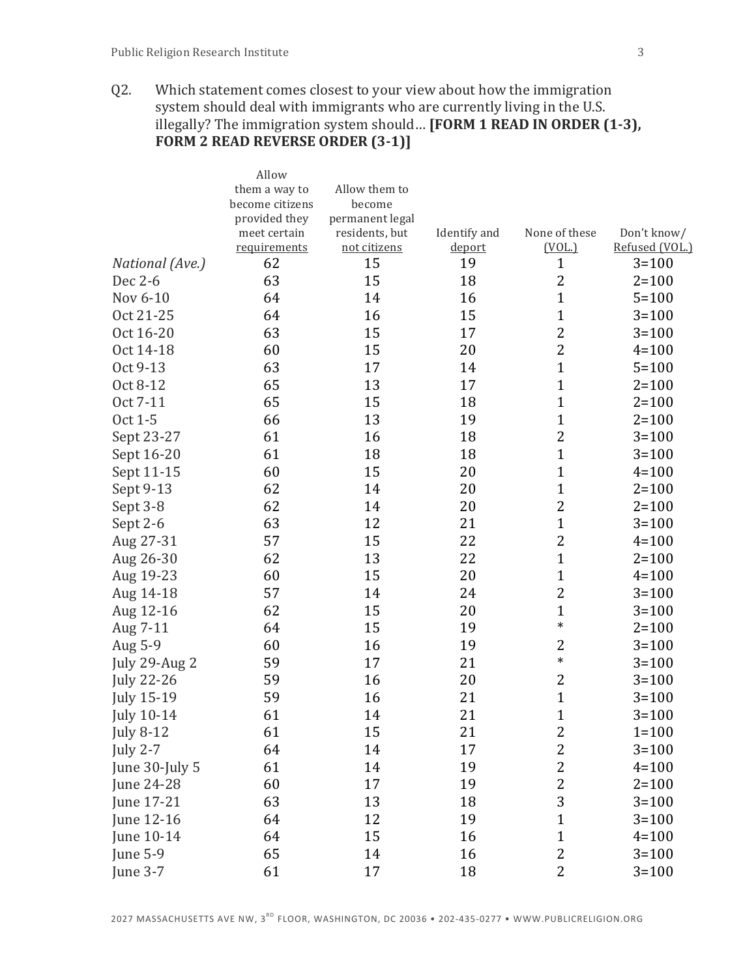Q2. Which statement comes closest to your view about how the immigration system should deal with immigrants who are currently living in the U.S. illegally? The immigration system should... **[FORM 1 READ IN ORDER (1-3)**, **FORM 2 READ REVERSE ORDER (3-1)]** 

|                      | Allow              |                    |              |                         |                             |
|----------------------|--------------------|--------------------|--------------|-------------------------|-----------------------------|
|                      | them a way to      | Allow them to      |              |                         |                             |
|                      | become citizens    | become             |              |                         |                             |
|                      | provided they      | permanent legal    |              |                         |                             |
|                      | meet certain       | residents, but     | Identify and | None of these           | Don't know/                 |
| National (Ave.)      | requirements<br>62 | not citizens<br>15 | deport<br>19 | (VOL.)<br>$\mathbf{1}$  | Refused (VOL.)<br>$3 = 100$ |
| Dec 2-6              | 63                 | 15                 | 18           | $\overline{2}$          | $2 = 100$                   |
| Nov 6-10             | 64                 | 14                 | 16           | $\mathbf{1}$            | $5 = 100$                   |
| Oct 21-25            | 64                 | 16                 | 15           | $\mathbf{1}$            | $3 = 100$                   |
| Oct 16-20            | 63                 | 15                 | 17           | $\overline{2}$          | $3 = 100$                   |
| Oct 14-18            | 60                 | 15                 | 20           | $\overline{c}$          | $4 = 100$                   |
| Oct 9-13             | 63                 | 17                 | 14           | $\mathbf{1}$            | $5 = 100$                   |
|                      |                    |                    | 17           | $\mathbf{1}$            |                             |
| Oct 8-12<br>Oct 7-11 | 65<br>65           | 13<br>15           |              | $\mathbf{1}$            | $2 = 100$                   |
|                      |                    |                    | 18           |                         | $2 = 100$                   |
| Oct 1-5              | 66                 | 13                 | 19           | $\mathbf{1}$            | $2 = 100$                   |
| Sept 23-27           | 61                 | 16                 | 18           | $\overline{2}$          | $3 = 100$                   |
| Sept 16-20           | 61                 | 18                 | 18           | $\mathbf{1}$            | $3 = 100$                   |
| Sept 11-15           | 60                 | 15                 | 20           | $\mathbf{1}$            | $4 = 100$                   |
| Sept 9-13            | 62                 | 14                 | 20           | $\mathbf{1}$            | $2 = 100$                   |
| Sept 3-8             | 62                 | 14                 | 20           | $\overline{c}$          | $2 = 100$                   |
| Sept 2-6             | 63                 | 12                 | 21           | $\mathbf{1}$            | $3 = 100$                   |
| Aug 27-31            | 57                 | 15                 | 22           | $\overline{c}$          | $4 = 100$                   |
| Aug 26-30            | 62                 | 13                 | 22           | $\mathbf{1}$            | $2 = 100$                   |
| Aug 19-23            | 60                 | 15                 | 20           | $\mathbf{1}$            | $4 = 100$                   |
| Aug 14-18            | 57                 | 14                 | 24           | $\overline{2}$          | $3 = 100$                   |
| Aug 12-16            | 62                 | 15                 | 20           | $\mathbf{1}$            | $3 = 100$                   |
| Aug 7-11             | 64                 | 15                 | 19           | $\ast$                  | $2 = 100$                   |
| Aug 5-9              | 60                 | 16                 | 19           | $\overline{2}$          | $3 = 100$                   |
| July 29-Aug 2        | 59                 | 17                 | 21           | $\ast$                  | $3 = 100$                   |
| <b>July 22-26</b>    | 59                 | 16                 | 20           | $\overline{\mathbf{c}}$ | $3 = 100$                   |
| <b>July 15-19</b>    | 59                 | 16                 | 21           | $\mathbf{1}$            | $3 = 100$                   |
| July 10-14           | 61                 | 14                 | 21           | $\mathbf 1$             | $3 = 100$                   |
| <b>July 8-12</b>     | 61                 | 15                 | 21           | $\overline{c}$          | $1 = 100$                   |
| <b>July 2-7</b>      | 64                 | 14                 | 17           | $\overline{2}$          | $3 = 100$                   |
| June 30-July 5       | 61                 | 14                 | 19           | $\overline{c}$          | $4 = 100$                   |
| June 24-28           | 60                 | 17                 | 19           | $\overline{c}$          | $2 = 100$                   |
| June 17-21           | 63                 | 13                 | 18           | 3                       | $3 = 100$                   |
| June 12-16           | 64                 | 12                 | 19           | $\mathbf{1}$            | $3 = 100$                   |
| June 10-14           | 64                 | 15                 | 16           | $\mathbf{1}$            | $4 = 100$                   |
| June 5-9             | 65                 | 14                 | 16           | $\overline{2}$          | $3 = 100$                   |
| June 3-7             | 61                 | 17                 | 18           | $\overline{2}$          | $3 = 100$                   |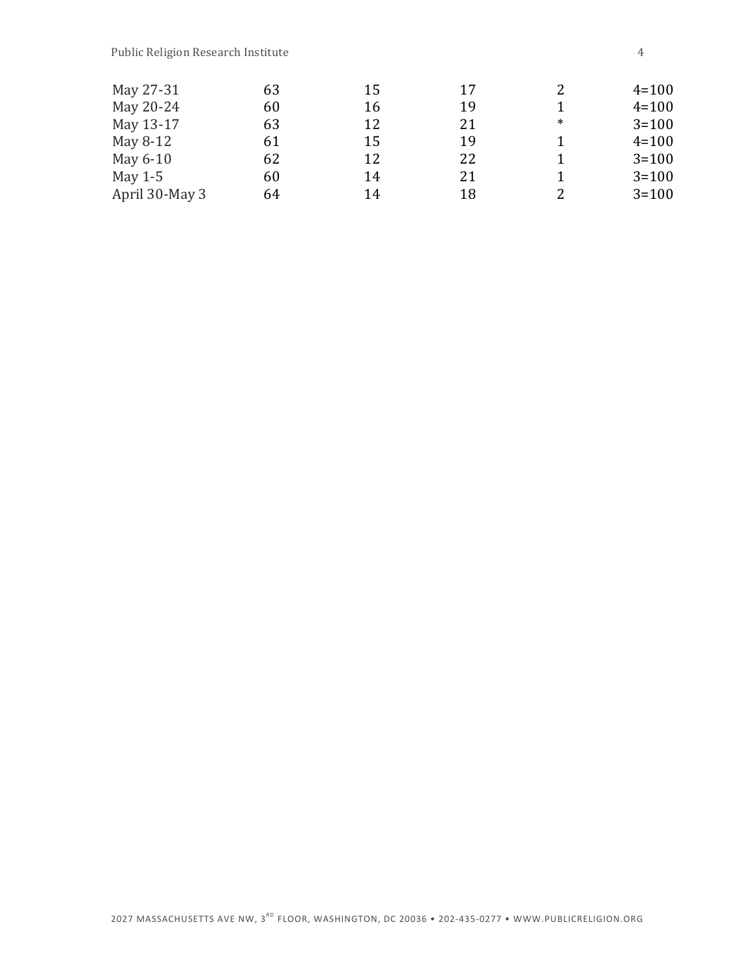| May 27-31      | 63 | 15 | 17 | 2      | $4 = 100$ |
|----------------|----|----|----|--------|-----------|
| May 20-24      | 60 | 16 | 19 |        | $4 = 100$ |
| May 13-17      | 63 | 12 | 21 | $\ast$ | $3 = 100$ |
| May 8-12       | 61 | 15 | 19 |        | $4 = 100$ |
| May 6-10       | 62 | 12 | 22 |        | $3 = 100$ |
| May $1-5$      | 60 | 14 | 21 |        | $3 = 100$ |
| April 30-May 3 | 64 | 14 | 18 | 2      | $3 = 100$ |

2027 MASSACHUSETTS AVE NW, 3<sup>RD</sup> FLOOR, WASHINGTON, DC 20036 • 202-435-0277 • WWW.PUBLICRELIGION.ORG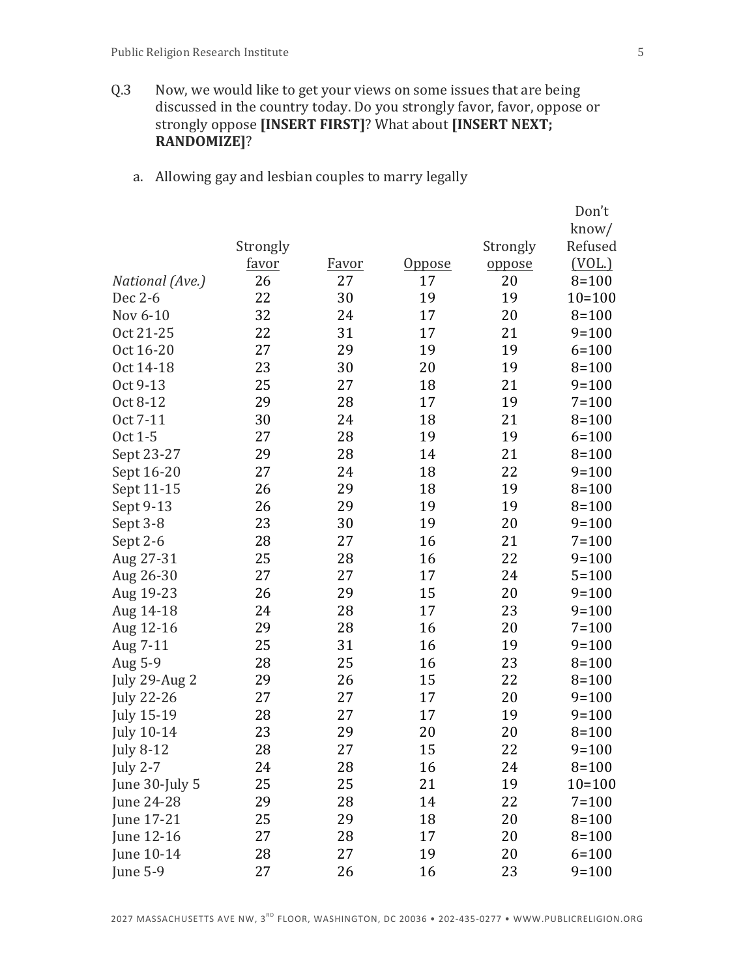- Q.3 Now, we would like to get your views on some issues that are being discussed in the country today. Do you strongly favor, favor, oppose or strongly oppose [INSERT FIRST]? What about [INSERT NEXT; **RANDOMIZE]**?
	- a. Allowing gay and lesbian couples to marry legally

|                   |              |              |               |          | Don't      |
|-------------------|--------------|--------------|---------------|----------|------------|
|                   |              |              |               |          | know/      |
|                   | Strongly     |              |               | Strongly | Refused    |
|                   | <u>favor</u> | <u>Favor</u> | <u>Oppose</u> | oppose   | (VOL.)     |
| National (Ave.)   | 26           | 27           | 17            | 20       | $8 = 100$  |
| Dec 2-6           | 22           | 30           | 19            | 19       | $10 = 100$ |
| Nov 6-10          | 32           | 24           | 17            | 20       | $8 = 100$  |
| Oct 21-25         | 22           | 31           | 17            | 21       | $9 = 100$  |
| Oct 16-20         | 27           | 29           | 19            | 19       | $6 = 100$  |
| Oct 14-18         | 23           | 30           | 20            | 19       | $8 = 100$  |
| Oct 9-13          | 25           | 27           | 18            | 21       | $9 = 100$  |
| Oct 8-12          | 29           | 28           | 17            | 19       | $7 = 100$  |
| Oct 7-11          | 30           | 24           | 18            | 21       | $8 = 100$  |
| Oct 1-5           | 27           | 28           | 19            | 19       | $6 = 100$  |
| Sept 23-27        | 29           | 28           | 14            | 21       | $8 = 100$  |
| Sept 16-20        | 27           | 24           | 18            | 22       | $9 = 100$  |
| Sept 11-15        | 26           | 29           | 18            | 19       | $8 = 100$  |
| Sept 9-13         | 26           | 29           | 19            | 19       | $8 = 100$  |
| Sept 3-8          | 23           | 30           | 19            | 20       | $9 = 100$  |
| Sept 2-6          | 28           | 27           | 16            | 21       | $7 = 100$  |
| Aug 27-31         | 25           | 28           | 16            | 22       | $9 = 100$  |
| Aug 26-30         | 27           | 27           | 17            | 24       | $5 = 100$  |
| Aug 19-23         | 26           | 29           | 15            | 20       | $9 = 100$  |
| Aug 14-18         | 24           | 28           | 17            | 23       | $9 = 100$  |
| Aug 12-16         | 29           | 28           | 16            | 20       | $7 = 100$  |
| Aug 7-11          | 25           | 31           | 16            | 19       | $9 = 100$  |
| Aug 5-9           | 28           | 25           | 16            | 23       | $8 = 100$  |
| July 29-Aug 2     | 29           | 26           | 15            | 22       | $8 = 100$  |
| <b>July 22-26</b> | 27           | 27           | 17            | 20       | $9 = 100$  |
| <b>July 15-19</b> | 28           | 27           | 17            | 19       | $9 = 100$  |
| <b>July 10-14</b> | 23           | 29           | 20            | 20       | $8 = 100$  |
| <b>July 8-12</b>  | 28           | 27           | 15            | 22       | $9 = 100$  |
| <b>July 2-7</b>   | 24           | 28           | 16            | 24       | $8 = 100$  |
| June 30-July 5    | 25           | 25           | 21            | 19       | $10 = 100$ |
| June 24-28        | 29           | 28           | 14            | 22       | $7 = 100$  |
| June 17-21        | 25           | 29           | 18            | 20       | $8 = 100$  |
| June 12-16        | 27           | 28           | 17            | 20       | $8 = 100$  |
| June 10-14        | 28           | 27           | 19            | 20       | $6 = 100$  |
| June 5-9          | 27           | 26           | 16            | 23       | $9 = 100$  |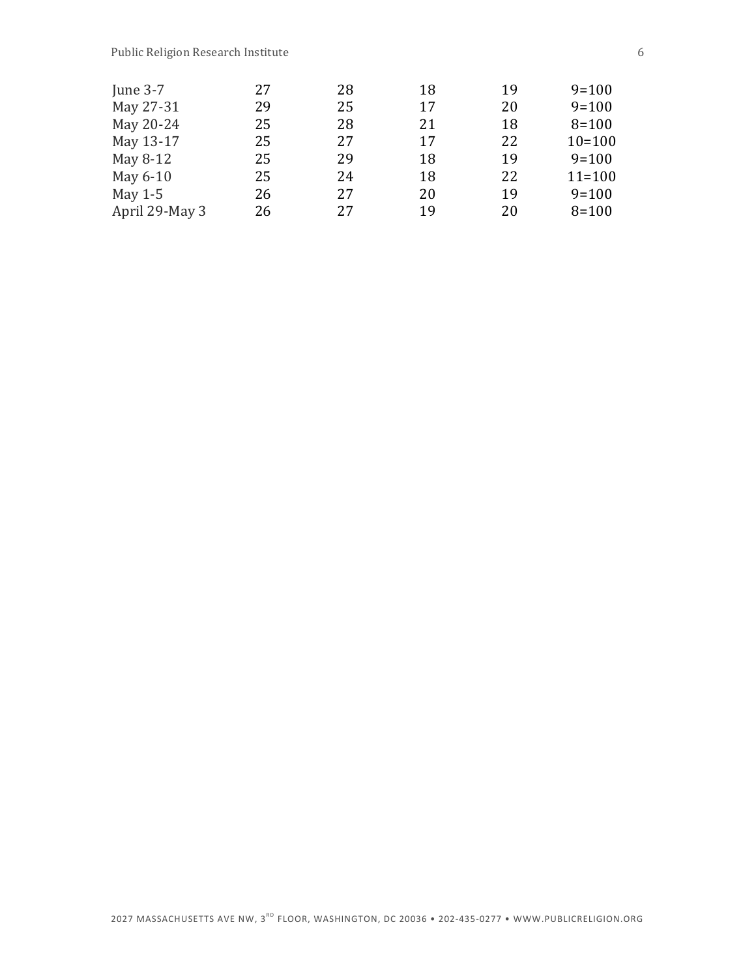| June $3-7$     | 27 | 28 | 18 | 19 | $9 = 100$  |
|----------------|----|----|----|----|------------|
| May 27-31      | 29 | 25 | 17 | 20 | $9=100$    |
| May 20-24      | 25 | 28 | 21 | 18 | $8 = 100$  |
| May 13-17      | 25 | 27 | 17 | 22 | $10=100$   |
| May 8-12       | 25 | 29 | 18 | 19 | $9 = 100$  |
| May 6-10       | 25 | 24 | 18 | 22 | $11 = 100$ |
| May $1-5$      | 26 | 27 | 20 | 19 | $9 = 100$  |
| April 29-May 3 | 26 | 27 | 19 | 20 | $8 = 100$  |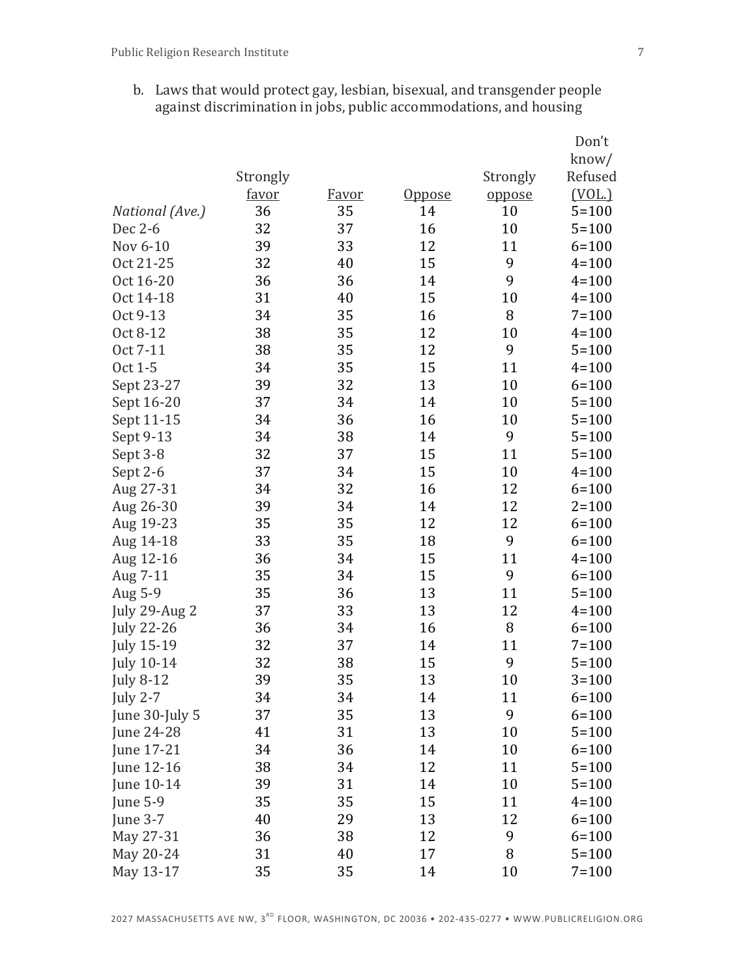b. Laws that would protect gay, lesbian, bisexual, and transgender people against discrimination in jobs, public accommodations, and housing

|                   |          |              |               |          | Don't     |
|-------------------|----------|--------------|---------------|----------|-----------|
|                   |          |              |               |          | know/     |
|                   | Strongly |              |               | Strongly | Refused   |
|                   | favor    | <u>Favor</u> | <u>Oppose</u> | oppose   | (VOL.)    |
| National (Ave.)   | 36       | 35           | 14            | 10       | $5 = 100$ |
| Dec 2-6           | 32       | 37           | 16            | 10       | $5 = 100$ |
| Nov 6-10          | 39       | 33           | 12            | 11       | $6 = 100$ |
| Oct 21-25         | 32       | 40           | 15            | 9        | $4 = 100$ |
| Oct 16-20         | 36       | 36           | 14            | 9        | $4 = 100$ |
| Oct 14-18         | 31       | 40           | 15            | 10       | $4 = 100$ |
| Oct 9-13          | 34       | 35           | 16            | 8        | $7 = 100$ |
| Oct 8-12          | 38       | 35           | 12            | 10       | $4 = 100$ |
| Oct 7-11          | 38       | 35           | 12            | 9        | $5 = 100$ |
| Oct 1-5           | 34       | 35           | 15            | 11       | $4 = 100$ |
| Sept 23-27        | 39       | 32           | 13            | 10       | $6 = 100$ |
| Sept 16-20        | 37       | 34           | 14            | 10       | $5 = 100$ |
| Sept 11-15        | 34       | 36           | 16            | 10       | $5 = 100$ |
| Sept 9-13         | 34       | 38           | 14            | 9        | $5 = 100$ |
| Sept 3-8          | 32       | 37           | 15            | 11       | $5 = 100$ |
| Sept 2-6          | 37       | 34           | 15            | 10       | $4 = 100$ |
| Aug 27-31         | 34       | 32           | 16            | 12       | $6 = 100$ |
| Aug 26-30         | 39       | 34           | 14            | 12       | $2 = 100$ |
| Aug 19-23         | 35       | 35           | 12            | 12       | $6 = 100$ |
| Aug 14-18         | 33       | 35           | 18            | 9        | $6 = 100$ |
| Aug 12-16         | 36       | 34           | 15            | 11       | $4 = 100$ |
| Aug 7-11          | 35       | 34           | 15            | 9        | $6 = 100$ |
| Aug 5-9           | 35       | 36           | 13            | 11       | $5 = 100$ |
| July 29-Aug 2     | 37       | 33           | 13            | 12       | $4 = 100$ |
| <b>July 22-26</b> | 36       | 34           | 16            | 8        | $6 = 100$ |
| <b>July 15-19</b> | 32       | 37           | 14            | 11       | $7 = 100$ |
| <b>July 10-14</b> | 32       | 38           | 15            | 9        | $5 = 100$ |
| <b>July 8-12</b>  | 39       | 35           | 13            | 10       | $3 = 100$ |
| <b>July 2-7</b>   | 34       | 34           | 14            | 11       | $6 = 100$ |
| June 30-July 5    | 37       | 35           | 13            | 9        | $6 = 100$ |
| June 24-28        | 41       | 31           | 13            | 10       | $5 = 100$ |
| June 17-21        | 34       | 36           | 14            | 10       | $6 = 100$ |
| June 12-16        | 38       | 34           | 12            | 11       | $5 = 100$ |
| June 10-14        | 39       | 31           | 14            | 10       | $5 = 100$ |
| <b>June 5-9</b>   | 35       | 35           | 15            | 11       | $4 = 100$ |
| June 3-7          | 40       | 29           | 13            | 12       | $6 = 100$ |
| May 27-31         | 36       | 38           | 12            | 9        | $6 = 100$ |
| May 20-24         | 31       | 40           | 17            | 8        | $5 = 100$ |
| May 13-17         | 35       | 35           | 14            | 10       | $7 = 100$ |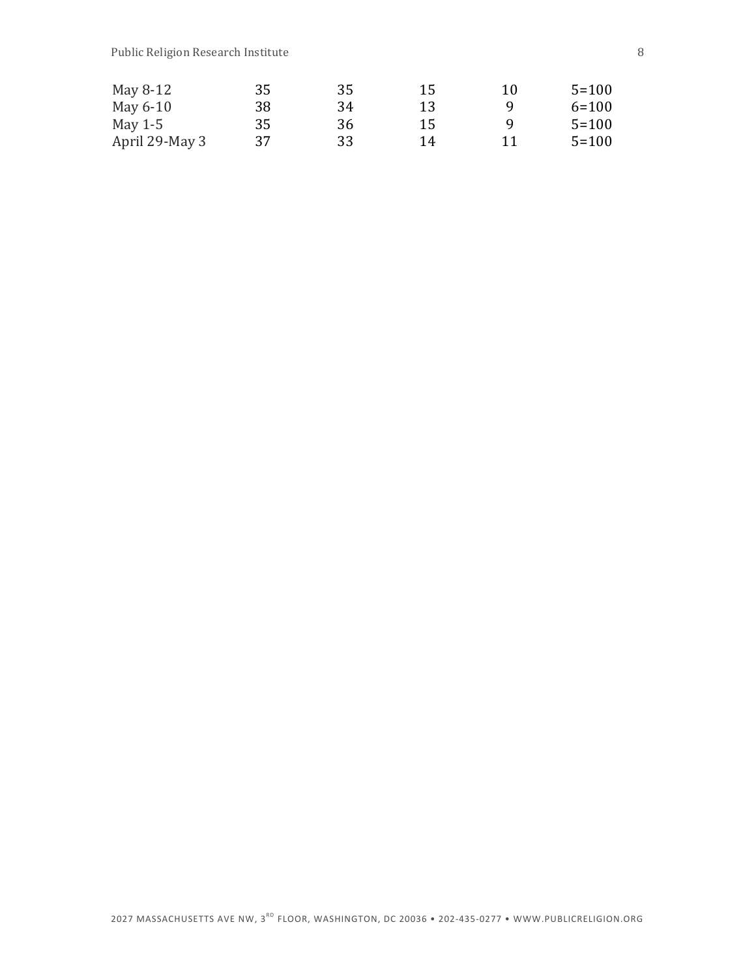| May 8-12       | 35 | 35 | 15 | 10 | $5 = 100$ |
|----------------|----|----|----|----|-----------|
| May 6-10       | 38 | 34 | 13 | Q  | $6 = 100$ |
| May $1-5$      | 35 | 36 | 15 | Q  | $5 = 100$ |
| April 29-May 3 | 37 | 33 | 14 | 11 | $5 = 100$ |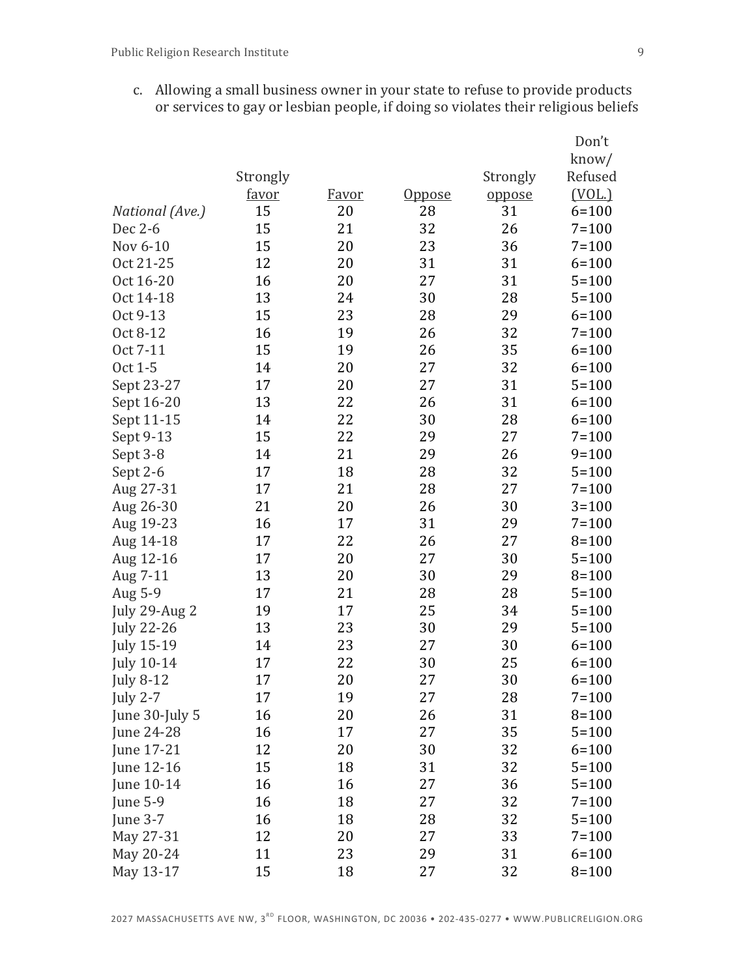c. Allowing a small business owner in your state to refuse to provide products or services to gay or lesbian people, if doing so violates their religious beliefs

|                   |          |              |               |          | Don't     |
|-------------------|----------|--------------|---------------|----------|-----------|
|                   |          |              |               |          | know/     |
|                   | Strongly |              |               | Strongly | Refused   |
|                   | favor    | <u>Favor</u> | <u>Oppose</u> | oppose   | (VOL.)    |
| National (Ave.)   | 15       | 20           | 28            | 31       | $6 = 100$ |
| Dec 2-6           | 15       | 21           | 32            | 26       | $7 = 100$ |
| Nov 6-10          | 15       | 20           | 23            | 36       | $7 = 100$ |
| Oct 21-25         | 12       | 20           | 31            | 31       | $6 = 100$ |
| Oct 16-20         | 16       | 20           | 27            | 31       | $5 = 100$ |
| Oct 14-18         | 13       | 24           | 30            | 28       | $5 = 100$ |
| Oct 9-13          | 15       | 23           | 28            | 29       | $6 = 100$ |
| Oct 8-12          | 16       | 19           | 26            | 32       | $7 = 100$ |
| Oct 7-11          | 15       | 19           | 26            | 35       | $6 = 100$ |
| Oct 1-5           | 14       | 20           | 27            | 32       | $6 = 100$ |
| Sept 23-27        | 17       | 20           | 27            | 31       | $5 = 100$ |
| Sept 16-20        | 13       | 22           | 26            | 31       | $6 = 100$ |
| Sept 11-15        | 14       | 22           | 30            | 28       | $6 = 100$ |
| Sept 9-13         | 15       | 22           | 29            | 27       | $7 = 100$ |
| Sept 3-8          | 14       | 21           | 29            | 26       | $9 = 100$ |
| Sept 2-6          | 17       | 18           | 28            | 32       | $5 = 100$ |
| Aug 27-31         | 17       | 21           | 28            | 27       | $7 = 100$ |
| Aug 26-30         | 21       | 20           | 26            | 30       | $3 = 100$ |
| Aug 19-23         | 16       | 17           | 31            | 29       | $7 = 100$ |
| Aug 14-18         | 17       | 22           | 26            | 27       | $8 = 100$ |
| Aug 12-16         | 17       | 20           | 27            | 30       | $5 = 100$ |
| Aug 7-11          | 13       | 20           | 30            | 29       | $8 = 100$ |
| Aug 5-9           | 17       | 21           | 28            | 28       | $5 = 100$ |
| July 29-Aug 2     | 19       | 17           | 25            | 34       | $5 = 100$ |
| <b>July 22-26</b> | 13       | 23           | 30            | 29       | $5 = 100$ |
| <b>July 15-19</b> | 14       | 23           | 27            | 30       | $6 = 100$ |
| <b>July 10-14</b> | 17       | 22           | 30            | 25       | $6 = 100$ |
| <b>July 8-12</b>  | 17       | 20           | 27            | 30       | $6 = 100$ |
| <b>July 2-7</b>   | 17       | 19           | 27            | 28       | $7 = 100$ |
| June 30-July 5    | 16       | 20           | 26            | 31       | $8 = 100$ |
| June 24-28        | 16       | 17           | 27            | 35       | $5 = 100$ |
| June 17-21        | 12       | 20           | 30            | 32       | $6 = 100$ |
| June 12-16        | 15       | 18           | 31            | 32       | $5 = 100$ |
| June 10-14        | 16       | 16           | 27            | 36       | $5 = 100$ |
| <b>June 5-9</b>   | 16       | 18           | 27            | 32       | $7 = 100$ |
| June 3-7          | 16       | 18           | 28            | 32       | $5 = 100$ |
| May 27-31         | 12       | 20           | 27            | 33       | $7 = 100$ |
| May 20-24         | 11       | 23           | 29            | 31       | $6 = 100$ |
| May 13-17         | 15       | 18           | 27            | 32       | $8 = 100$ |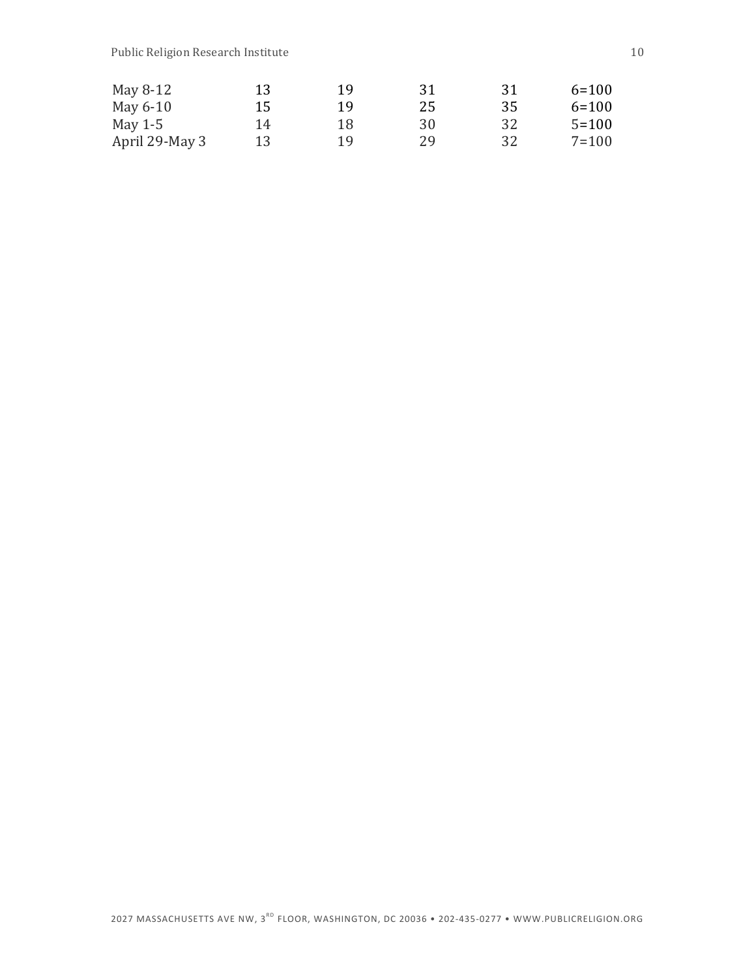| May 8-12       | 13 | 19 | 31 | -31 | $6 = 100$ |
|----------------|----|----|----|-----|-----------|
| May 6-10       | 15 | 19 | 25 | 35  | $6 = 100$ |
| May $1-5$      | 14 | 18 | 30 | 32  | $5 = 100$ |
| April 29-May 3 | 13 | 19 | 29 | 32  | $7 = 100$ |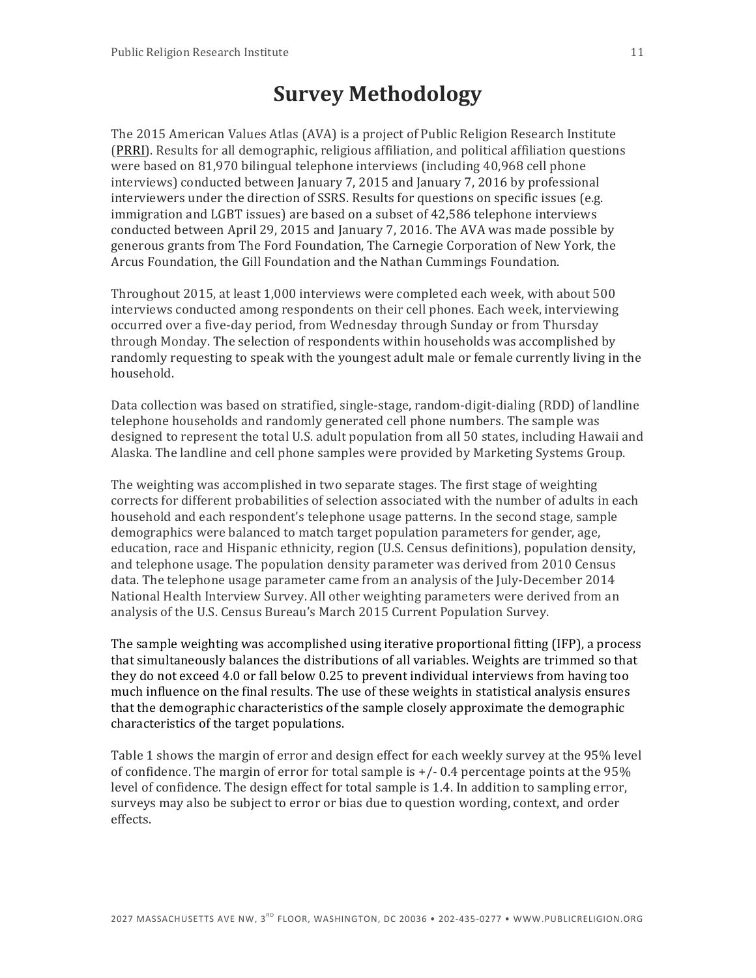# **Survey Methodology**

The 2015 American Values Atlas (AVA) is a project of Public Religion Research Institute (PRRI). Results for all demographic, religious affiliation, and political affiliation questions were based on 81,970 bilingual telephone interviews (including 40,968 cell phone interviews) conducted between January 7, 2015 and January 7, 2016 by professional interviewers under the direction of SSRS. Results for questions on specific issues (e.g. immigration and LGBT issues) are based on a subset of 42,586 telephone interviews conducted between April 29, 2015 and January 7, 2016. The AVA was made possible by generous grants from The Ford Foundation, The Carnegie Corporation of New York, the Arcus Foundation, the Gill Foundation and the Nathan Cummings Foundation.

Throughout 2015, at least 1,000 interviews were completed each week, with about 500 interviews conducted among respondents on their cell phones. Each week, interviewing occurred over a five-day period, from Wednesday through Sunday or from Thursday through Monday. The selection of respondents within households was accomplished by randomly requesting to speak with the youngest adult male or female currently living in the household. 

Data collection was based on stratified, single-stage, random-digit-dialing (RDD) of landline telephone households and randomly generated cell phone numbers. The sample was designed to represent the total U.S. adult population from all 50 states, including Hawaii and Alaska. The landline and cell phone samples were provided by Marketing Systems Group.

The weighting was accomplished in two separate stages. The first stage of weighting corrects for different probabilities of selection associated with the number of adults in each household and each respondent's telephone usage patterns. In the second stage, sample demographics were balanced to match target population parameters for gender, age, education, race and Hispanic ethnicity, region (U.S. Census definitions), population density, and telephone usage. The population density parameter was derived from 2010 Census data. The telephone usage parameter came from an analysis of the  $\text{luly-December 2014}$ National Health Interview Survey. All other weighting parameters were derived from an analysis of the U.S. Census Bureau's March 2015 Current Population Survey.

The sample weighting was accomplished using iterative proportional fitting (IFP), a process that simultaneously balances the distributions of all variables. Weights are trimmed so that they do not exceed 4.0 or fall below 0.25 to prevent individual interviews from having too much influence on the final results. The use of these weights in statistical analysis ensures that the demographic characteristics of the sample closely approximate the demographic characteristics of the target populations.

Table 1 shows the margin of error and design effect for each weekly survey at the 95% level of confidence. The margin of error for total sample is  $+/-0.4$  percentage points at the 95% level of confidence. The design effect for total sample is 1.4. In addition to sampling error, surveys may also be subject to error or bias due to question wording, context, and order effects.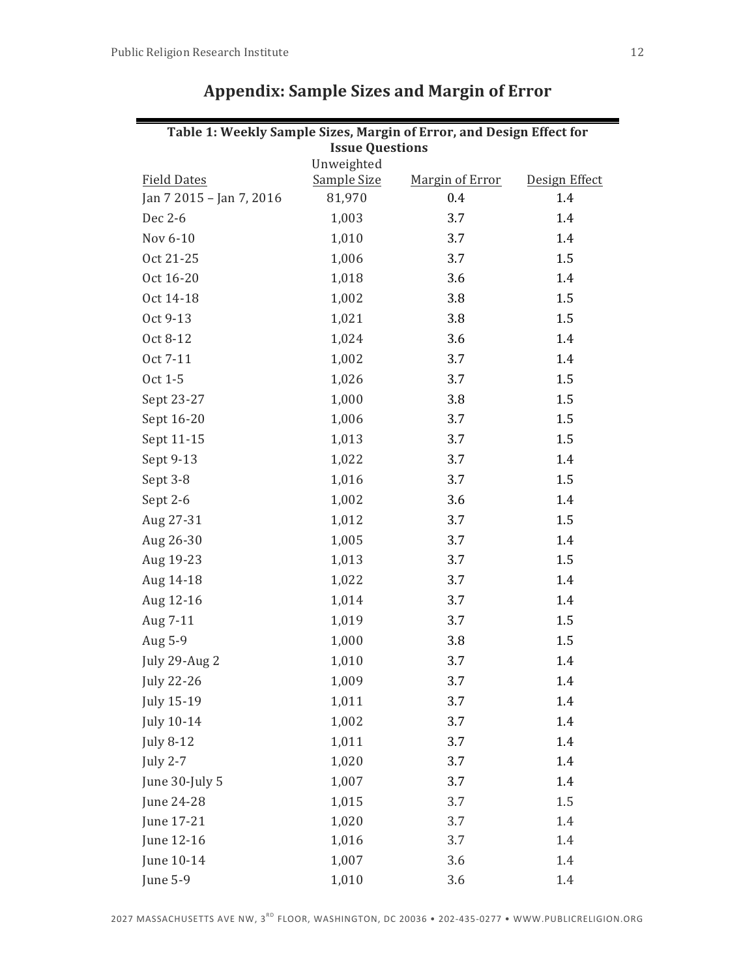| Table 1: Weekly Sample Sizes, Margin of Error, and Design Effect for |                                  |                 |               |  |  |
|----------------------------------------------------------------------|----------------------------------|-----------------|---------------|--|--|
|                                                                      | <b>Issue Questions</b>           |                 |               |  |  |
| <b>Field Dates</b>                                                   | Unweighted<br><b>Sample Size</b> | Margin of Error | Design Effect |  |  |
| Jan 7 2015 - Jan 7, 2016                                             | 81,970                           | 0.4             | 1.4           |  |  |
| Dec 2-6                                                              | 1,003                            | 3.7             | 1.4           |  |  |
| Nov 6-10                                                             | 1,010                            | 3.7             | 1.4           |  |  |
| Oct 21-25                                                            | 1,006                            | 3.7             | 1.5           |  |  |
| Oct 16-20                                                            | 1,018                            | 3.6             | 1.4           |  |  |
| Oct 14-18                                                            | 1,002                            | 3.8             | 1.5           |  |  |
| Oct 9-13                                                             | 1,021                            | 3.8             | 1.5           |  |  |
| Oct 8-12                                                             | 1,024                            | 3.6             | 1.4           |  |  |
| Oct 7-11                                                             | 1,002                            | 3.7             | 1.4           |  |  |
| Oct 1-5                                                              | 1,026                            | 3.7             | 1.5           |  |  |
| Sept 23-27                                                           | 1,000                            | 3.8             | 1.5           |  |  |
| Sept 16-20                                                           | 1,006                            | 3.7             | 1.5           |  |  |
| Sept 11-15                                                           | 1,013                            | 3.7             | 1.5           |  |  |
| Sept 9-13                                                            | 1,022                            | 3.7             | 1.4           |  |  |
| Sept 3-8                                                             | 1,016                            | 3.7             | 1.5           |  |  |
| Sept 2-6                                                             | 1,002                            | 3.6             | 1.4           |  |  |
| Aug 27-31                                                            | 1,012                            | 3.7             | 1.5           |  |  |
| Aug 26-30                                                            | 1,005                            | 3.7             | 1.4           |  |  |
| Aug 19-23                                                            | 1,013                            | 3.7             | 1.5           |  |  |
| Aug 14-18                                                            | 1,022                            | 3.7             | 1.4           |  |  |
| Aug 12-16                                                            | 1,014                            | 3.7             | 1.4           |  |  |
| Aug 7-11                                                             | 1,019                            | 3.7             | 1.5           |  |  |
| Aug 5-9                                                              | 1,000                            | 3.8             | 1.5           |  |  |
| July 29-Aug 2                                                        | 1,010                            | 3.7             | 1.4           |  |  |
| <b>July 22-26</b>                                                    | 1,009                            | 3.7             | 1.4           |  |  |
| <b>July 15-19</b>                                                    | 1,011                            | 3.7             | 1.4           |  |  |
| July 10-14                                                           | 1,002                            | 3.7             | 1.4           |  |  |
| <b>July 8-12</b>                                                     | 1,011                            | 3.7             | 1.4           |  |  |
| <b>July 2-7</b>                                                      | 1,020                            | 3.7             | 1.4           |  |  |
| June 30-July 5                                                       | 1,007                            | 3.7             | 1.4           |  |  |
| June 24-28                                                           | 1,015                            | 3.7             | 1.5           |  |  |
| June 17-21                                                           | 1,020                            | 3.7             | 1.4           |  |  |
| June 12-16                                                           | 1,016                            | 3.7             | 1.4           |  |  |
| June 10-14                                                           | 1,007                            | 3.6             | 1.4           |  |  |
| June 5-9                                                             | 1,010                            | 3.6             | 1.4           |  |  |

## **Appendix: Sample Sizes and Margin of Error**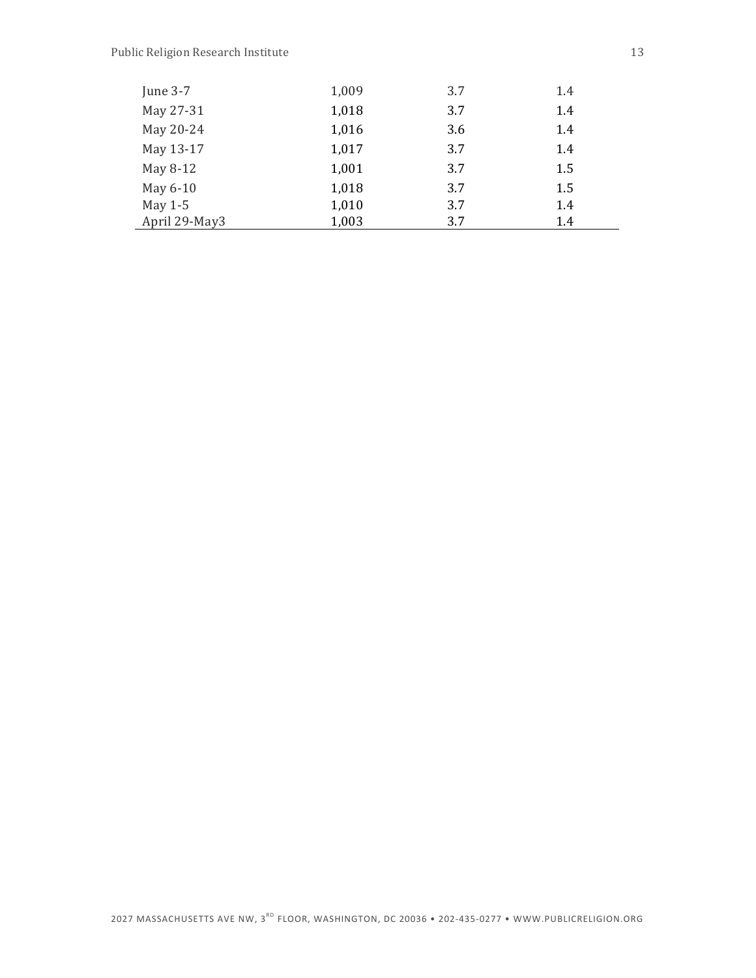| June $3-7$    | 1,009 | 3.7 | 1.4 |  |
|---------------|-------|-----|-----|--|
| May 27-31     | 1,018 | 3.7 | 1.4 |  |
| May 20-24     | 1,016 | 3.6 | 1.4 |  |
| May 13-17     | 1,017 | 3.7 | 1.4 |  |
| May 8-12      | 1,001 | 3.7 | 1.5 |  |
| May 6-10      | 1,018 | 3.7 | 1.5 |  |
| May $1-5$     | 1,010 | 3.7 | 1.4 |  |
| April 29-May3 | 1,003 | 3.7 | 1.4 |  |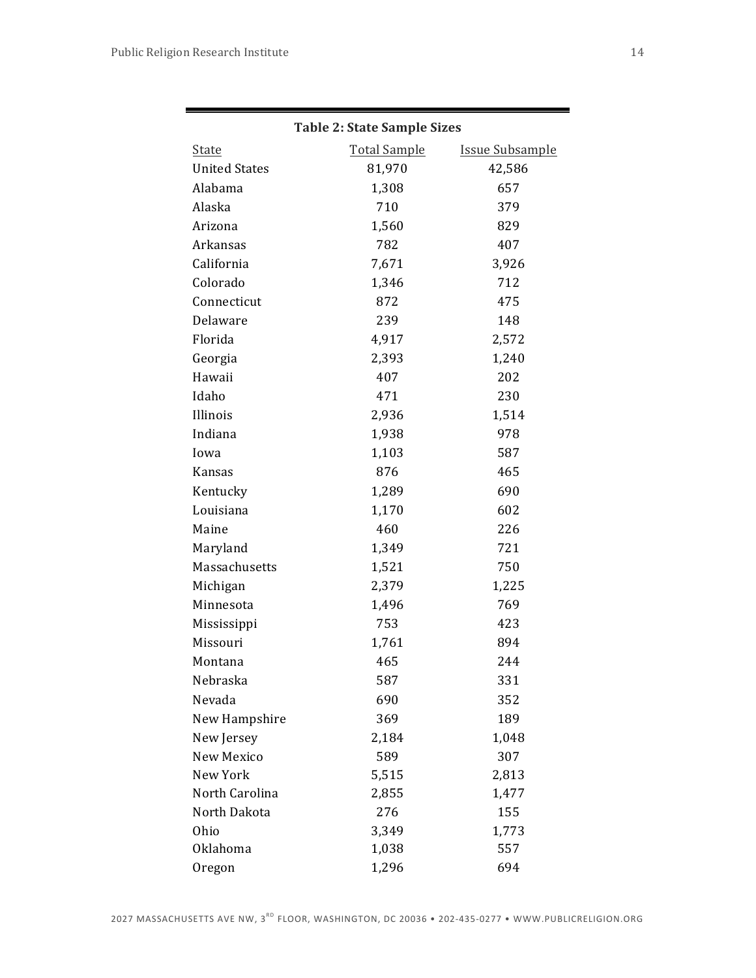|                      | <b>Table 2: State Sample Sizes</b> |                        |
|----------------------|------------------------------------|------------------------|
| <b>State</b>         | <b>Total Sample</b>                | <b>Issue Subsample</b> |
| <b>United States</b> | 81,970                             | 42,586                 |
| Alabama              | 1,308                              | 657                    |
| Alaska               | 710                                | 379                    |
| Arizona              | 1,560                              | 829                    |
| Arkansas             | 782                                | 407                    |
| California           | 7,671                              | 3,926                  |
| Colorado             | 1,346                              | 712                    |
| Connecticut          | 872                                | 475                    |
| Delaware             | 239                                | 148                    |
| Florida              | 4,917                              | 2,572                  |
| Georgia              | 2,393                              | 1,240                  |
| Hawaii               | 407                                | 202                    |
| Idaho                | 471                                | 230                    |
| Illinois             | 2,936                              | 1,514                  |
| Indiana              | 1,938                              | 978                    |
| Iowa                 | 1,103                              | 587                    |
| Kansas               | 876                                | 465                    |
| Kentucky             | 1,289                              | 690                    |
| Louisiana            | 1,170                              | 602                    |
| Maine                | 460                                | 226                    |
| Maryland             | 1,349                              | 721                    |
| Massachusetts        | 1,521                              | 750                    |
| Michigan             | 2,379                              | 1,225                  |
| Minnesota            | 1,496                              | 769                    |
| Mississippi          | 753                                | 423                    |
| Missouri             | 1,761                              | 894                    |
| Montana              | 465                                | 244                    |
| Nebraska             | 587                                | 331                    |
| Nevada               | 690                                | 352                    |
| New Hampshire        | 369                                | 189                    |
| New Jersey           | 2,184                              | 1,048                  |
| New Mexico           | 589                                | 307                    |
| New York             | 5,515                              | 2,813                  |
| North Carolina       | 2,855                              | 1,477                  |
| North Dakota         | 276                                | 155                    |
| Ohio                 | 3,349                              | 1,773                  |
| Oklahoma             | 1,038                              | 557                    |
| Oregon               | 1,296                              | 694                    |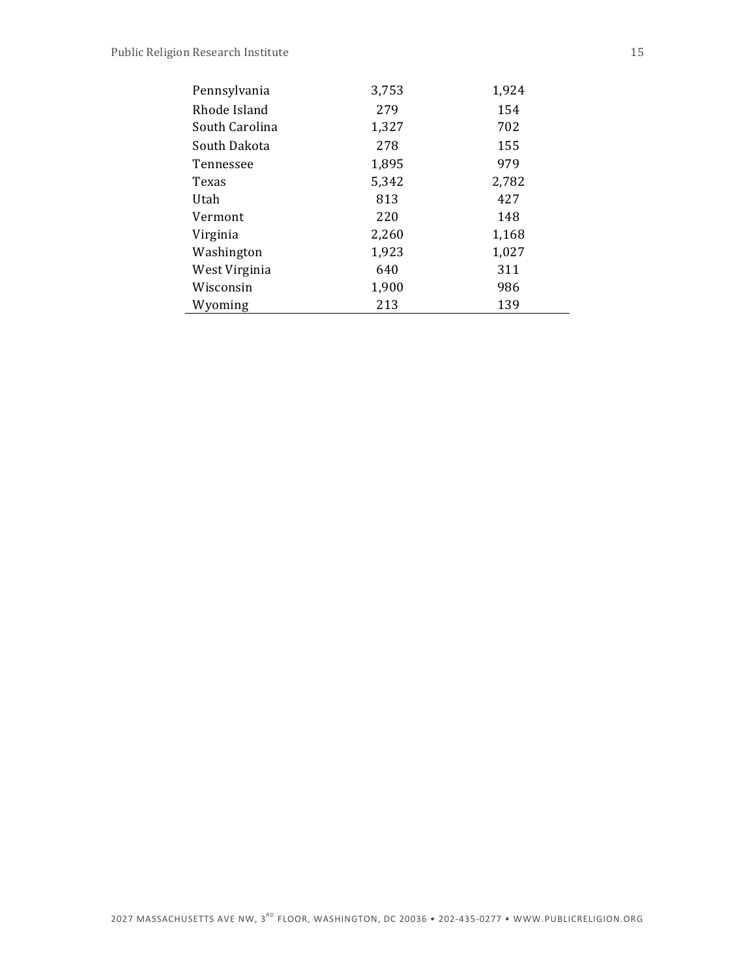| Pennsylvania   | 3,753 | 1,924 |
|----------------|-------|-------|
| Rhode Island   | 279   | 154   |
| South Carolina | 1,327 | 702   |
| South Dakota   | 278   | 155   |
| Tennessee      | 1,895 | 979   |
| Texas          | 5,342 | 2,782 |
| Utah           | 813   | 427   |
| Vermont        | 220   | 148   |
| Virginia       | 2,260 | 1,168 |
| Washington     | 1,923 | 1,027 |
| West Virginia  | 640   | 311   |
| Wisconsin      | 1,900 | 986   |
| Wyoming        | 213   | 139   |